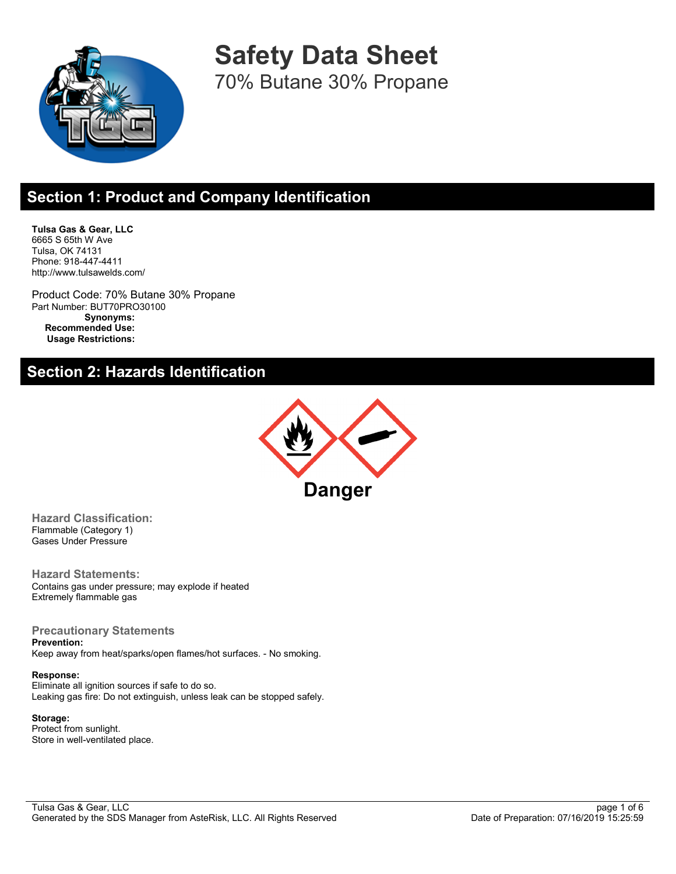

**Safety Data Sheet** 70% Butane 30% Propane

## **Section 1: Product and Company Identification**

**Tulsa Gas & Gear, LLC** 6665 S 65th W Ave Tulsa, OK 74131 Phone: 918-447-4411 http://www.tulsawelds.com/

Product Code: 70% Butane 30% Propane Part Number: BUT70PRO30100 **Synonyms: Recommended Use: Usage Restrictions:**

## **Section 2: Hazards Identification**



**Hazard Classification:** Flammable (Category 1) Gases Under Pressure

**Hazard Statements:** Contains gas under pressure; may explode if heated Extremely flammable gas

#### **Precautionary Statements**

**Prevention:** Keep away from heat/sparks/open flames/hot surfaces. - No smoking.

#### **Response:**

Eliminate all ignition sources if safe to do so. Leaking gas fire: Do not extinguish, unless leak can be stopped safely.

#### **Storage:**

Protect from sunlight. Store in well-ventilated place.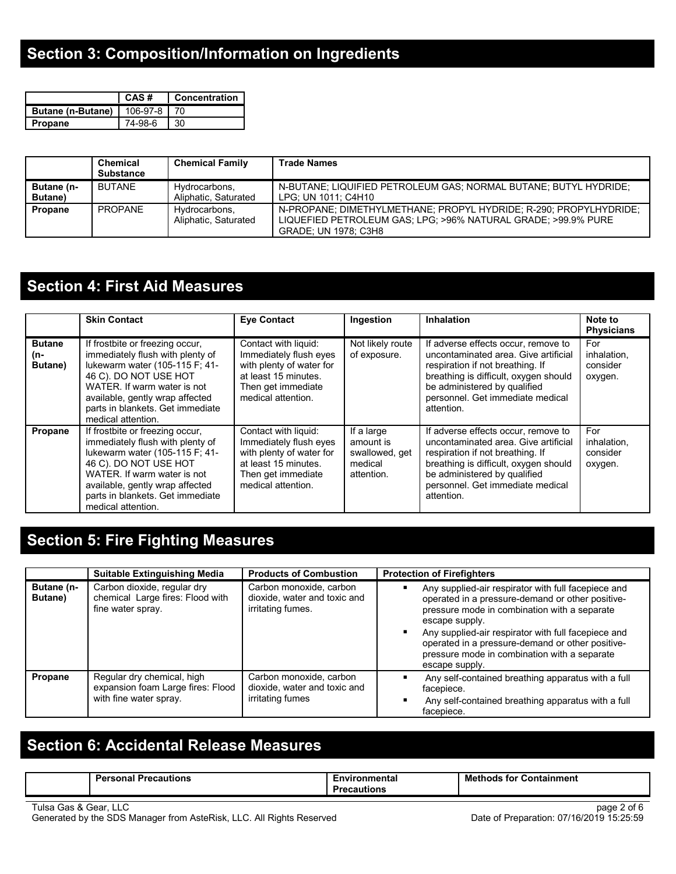# **Section 3: Composition/Information on Ingredients**

|                                          | CAS#    | <b>Concentration</b> |
|------------------------------------------|---------|----------------------|
| <b>Butane (n-Butane)</b>   106-97-8   70 |         |                      |
| <b>Propane</b>                           | 74-98-6 | 30                   |

|                               | <b>Chemical</b><br><b>Substance</b> | <b>Chemical Family</b>                | <b>Trade Names</b>                                                                                                                                         |
|-------------------------------|-------------------------------------|---------------------------------------|------------------------------------------------------------------------------------------------------------------------------------------------------------|
| Butane (n-<br><b>Butane</b> ) | <b>BUTANE</b>                       | Hydrocarbons,<br>Aliphatic, Saturated | N-BUTANE: LIQUIFIED PETROLEUM GAS: NORMAL BUTANE: BUTYL HYDRIDE:<br>LPG: UN 1011: C4H10                                                                    |
| <b>Propane</b>                | <b>PROPANE</b>                      | Hydrocarbons,<br>Aliphatic, Saturated | N-PROPANE; DIMETHYLMETHANE; PROPYL HYDRIDE; R-290; PROPYLHYDRIDE;<br>LIQUEFIED PETROLEUM GAS; LPG; >96% NATURAL GRADE; >99.9% PURE<br>GRADE, UN 1978, C3H8 |

# **Section 4: First Aid Measures**

|                                 | <b>Skin Contact</b>                                                                                                                                                                                                                                        | <b>Eye Contact</b>                                                                                                                             | Ingestion                                                          | <b>Inhalation</b>                                                                                                                                                                                                                          | Note to<br><b>Physicians</b>              |
|---------------------------------|------------------------------------------------------------------------------------------------------------------------------------------------------------------------------------------------------------------------------------------------------------|------------------------------------------------------------------------------------------------------------------------------------------------|--------------------------------------------------------------------|--------------------------------------------------------------------------------------------------------------------------------------------------------------------------------------------------------------------------------------------|-------------------------------------------|
| <b>Butane</b><br>(n-<br>Butane) | If frostbite or freezing occur,<br>immediately flush with plenty of<br>lukewarm water (105-115 F; 41-<br>46 C). DO NOT USE HOT<br>WATER. If warm water is not<br>available, gently wrap affected<br>parts in blankets. Get immediate<br>medical attention. | Contact with liquid:<br>Immediately flush eyes<br>with plenty of water for<br>at least 15 minutes.<br>Then get immediate<br>medical attention. | Not likely route<br>of exposure.                                   | If adverse effects occur, remove to<br>uncontaminated area. Give artificial<br>respiration if not breathing. If<br>breathing is difficult, oxygen should<br>be administered by qualified<br>personnel. Get immediate medical<br>attention. | For<br>inhalation,<br>consider<br>oxygen. |
| Propane                         | If frostbite or freezing occur.<br>immediately flush with plenty of<br>lukewarm water (105-115 F; 41-<br>46 C). DO NOT USE HOT<br>WATER. If warm water is not<br>available, gently wrap affected<br>parts in blankets. Get immediate<br>medical attention. | Contact with liquid:<br>Immediately flush eyes<br>with plenty of water for<br>at least 15 minutes.<br>Then get immediate<br>medical attention. | If a large<br>amount is<br>swallowed, get<br>medical<br>attention. | If adverse effects occur, remove to<br>uncontaminated area. Give artificial<br>respiration if not breathing. If<br>breathing is difficult, oxygen should<br>be administered by qualified<br>personnel. Get immediate medical<br>attention. | For<br>inhalation,<br>consider<br>oxygen. |

# **Section 5: Fire Fighting Measures**

|                               | <b>Suitable Extinguishing Media</b>                                                       | <b>Products of Combustion</b>                                                | <b>Protection of Firefighters</b>                                                                                                                                                                                                                                                                                                                      |
|-------------------------------|-------------------------------------------------------------------------------------------|------------------------------------------------------------------------------|--------------------------------------------------------------------------------------------------------------------------------------------------------------------------------------------------------------------------------------------------------------------------------------------------------------------------------------------------------|
| Butane (n-<br><b>Butane</b> ) | Carbon dioxide, regular dry<br>chemical Large fires: Flood with<br>fine water spray.      | Carbon monoxide, carbon<br>dioxide, water and toxic and<br>irritating fumes. | Any supplied-air respirator with full facepiece and<br>operated in a pressure-demand or other positive-<br>pressure mode in combination with a separate<br>escape supply.<br>Any supplied-air respirator with full facepiece and<br>operated in a pressure-demand or other positive-<br>pressure mode in combination with a separate<br>escape supply. |
| Propane                       | Regular dry chemical, high<br>expansion foam Large fires: Flood<br>with fine water spray. | Carbon monoxide, carbon<br>dioxide, water and toxic and<br>irritating fumes  | Any self-contained breathing apparatus with a full<br>facepiece.<br>Any self-contained breathing apparatus with a full<br>facepiece.                                                                                                                                                                                                                   |

# **Section 6: Accidental Release Measures**

| <b>Personal Precautions</b> | <i><b>Environmental</b></i> | Methods<br>s for Containment |
|-----------------------------|-----------------------------|------------------------------|
|                             | ecautions                   |                              |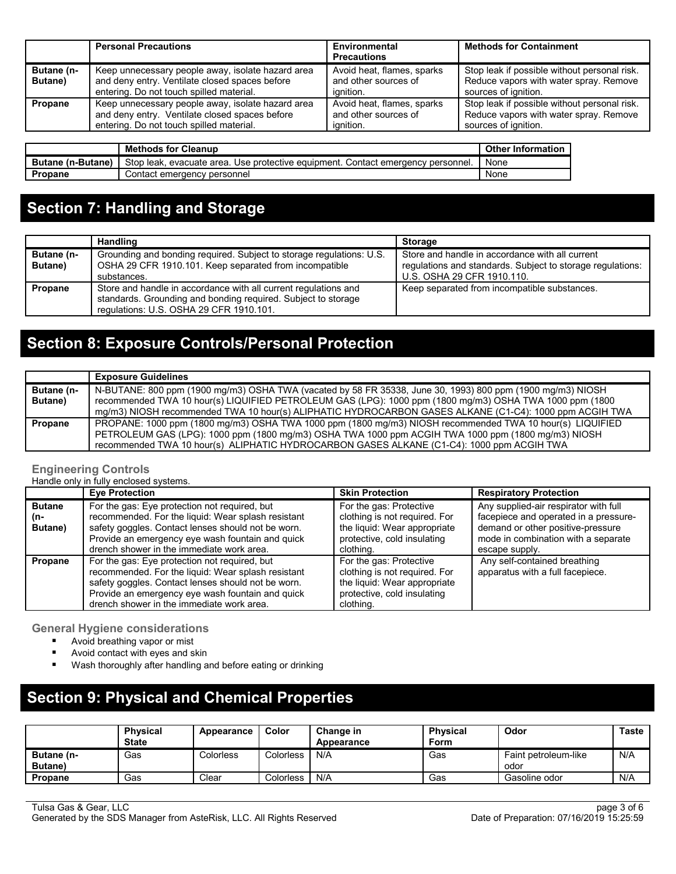|                               | <b>Personal Precautions</b>                                                                                                                     | Environmental<br><b>Precautions</b>                             | <b>Methods for Containment</b>                                                                                 |
|-------------------------------|-------------------------------------------------------------------------------------------------------------------------------------------------|-----------------------------------------------------------------|----------------------------------------------------------------------------------------------------------------|
| Butane (n-<br><b>Butane</b> ) | Keep unnecessary people away, isolate hazard area<br>and deny entry. Ventilate closed spaces before<br>entering. Do not touch spilled material. | Avoid heat, flames, sparks<br>and other sources of<br>ignition. | Stop leak if possible without personal risk.<br>Reduce vapors with water spray. Remove<br>sources of ignition. |
| Propane                       | Keep unnecessary people away, isolate hazard area<br>and deny entry. Ventilate closed spaces before<br>entering. Do not touch spilled material. | Avoid heat, flames, sparks<br>and other sources of<br>ignition. | Stop leak if possible without personal risk.<br>Reduce vapors with water spray. Remove<br>sources of ignition. |

|                          | <b>Methods for Cleanup</b>                                                       | <b>Other Information</b> |
|--------------------------|----------------------------------------------------------------------------------|--------------------------|
| <b>Butane (n-Butane)</b> | Stop leak, evacuate area. Use protective equipment. Contact emergency personnel. | None                     |
| Propane                  | Contact emergency personnel                                                      | None                     |

## **Section 7: Handling and Storage**

|                               | <b>Handling</b>                                                                                                                                                             | <b>Storage</b>                                                                                                                              |
|-------------------------------|-----------------------------------------------------------------------------------------------------------------------------------------------------------------------------|---------------------------------------------------------------------------------------------------------------------------------------------|
| Butane (n-<br><b>Butane</b> ) | Grounding and bonding required. Subject to storage regulations: U.S.<br>OSHA 29 CFR 1910.101. Keep separated from incompatible<br>substances.                               | Store and handle in accordance with all current<br>regulations and standards. Subject to storage regulations:<br>U.S. OSHA 29 CFR 1910.110. |
| Propane                       | Store and handle in accordance with all current regulations and<br>standards. Grounding and bonding required. Subject to storage<br>regulations: U.S. OSHA 29 CFR 1910.101. | Keep separated from incompatible substances.                                                                                                |

## **Section 8: Exposure Controls/Personal Protection**

|                   | <b>Exposure Guidelines</b>                                                                                 |
|-------------------|------------------------------------------------------------------------------------------------------------|
| <b>Butane (n-</b> | N-BUTANE: 800 ppm (1900 mg/m3) OSHA TWA (vacated by 58 FR 35338, June 30, 1993) 800 ppm (1900 mg/m3) NIOSH |
| <b>Butane</b> )   | recommended TWA 10 hour(s) LIQUIFIED PETROLEUM GAS (LPG): 1000 ppm (1800 mg/m3) OSHA TWA 1000 ppm (1800    |
|                   | mg/m3) NIOSH recommended TWA 10 hour(s) ALIPHATIC HYDROCARBON GASES ALKANE (C1-C4): 1000 ppm ACGIH TWA     |
| Propane           | PROPANE: 1000 ppm (1800 mg/m3) OSHA TWA 1000 ppm (1800 mg/m3) NIOSH recommended TWA 10 hour(s) LIQUIFIED   |
|                   | PETROLEUM GAS (LPG): 1000 ppm (1800 mg/m3) OSHA TWA 1000 ppm ACGIH TWA 1000 ppm (1800 mg/m3) NIOSH         |
|                   | recommended TWA 10 hour(s) ALIPHATIC HYDROCARBON GASES ALKANE (C1-C4): 1000 ppm ACGIH TWA                  |

### **Engineering Controls**

Handle only in fully enclosed systems.

|               | <b>Eye Protection</b>                                                                                                                                                                                                                                      | <b>Skin Protection</b>                                                                                                               | <b>Respiratory Protection</b>                                    |
|---------------|------------------------------------------------------------------------------------------------------------------------------------------------------------------------------------------------------------------------------------------------------------|--------------------------------------------------------------------------------------------------------------------------------------|------------------------------------------------------------------|
| <b>Butane</b> | For the gas: Eye protection not required, but                                                                                                                                                                                                              | For the gas: Protective                                                                                                              | Any supplied-air respirator with full                            |
| (n-           | recommended. For the liquid: Wear splash resistant                                                                                                                                                                                                         | clothing is not required. For                                                                                                        | facepiece and operated in a pressure-                            |
| Butane)       | safety goggles. Contact lenses should not be worn.                                                                                                                                                                                                         | the liquid: Wear appropriate                                                                                                         | demand or other positive-pressure                                |
|               | Provide an emergency eye wash fountain and quick                                                                                                                                                                                                           | protective, cold insulating                                                                                                          | mode in combination with a separate                              |
|               | drench shower in the immediate work area.                                                                                                                                                                                                                  | clothing.                                                                                                                            | escape supply.                                                   |
| Propane       | For the gas: Eye protection not required, but<br>recommended. For the liquid: Wear splash resistant<br>safety goggles. Contact lenses should not be worn.<br>Provide an emergency eye wash fountain and quick<br>drench shower in the immediate work area. | For the gas: Protective<br>clothing is not required. For<br>the liquid: Wear appropriate<br>protective, cold insulating<br>clothing. | Any self-contained breathing<br>apparatus with a full facepiece. |

### **General Hygiene considerations**

- Avoid breathing vapor or mist<br>■ Avoid contact with eves and s
- Avoid contact with eyes and skin<br>■ Wash thoroughly after handling a
- Wash thoroughly after handling and before eating or drinking

## **Section 9: Physical and Chemical Properties**

|                                      | <b>Physical</b><br><b>State</b> | Appearance | Color            | Change in<br>Appearance | <b>Physical</b><br>Form | Odor                         | <b>Taste</b> |
|--------------------------------------|---------------------------------|------------|------------------|-------------------------|-------------------------|------------------------------|--------------|
| <b>Butane</b> (n-<br><b>Butane</b> ) | Gas                             | Colorless  | <b>Colorless</b> | N/A                     | Gas                     | Faint petroleum-like<br>odor | N/A          |
| Propane                              | Gas                             | Clear      | Colorless        | N/A                     | Gas                     | Gasoline odor                | N/A          |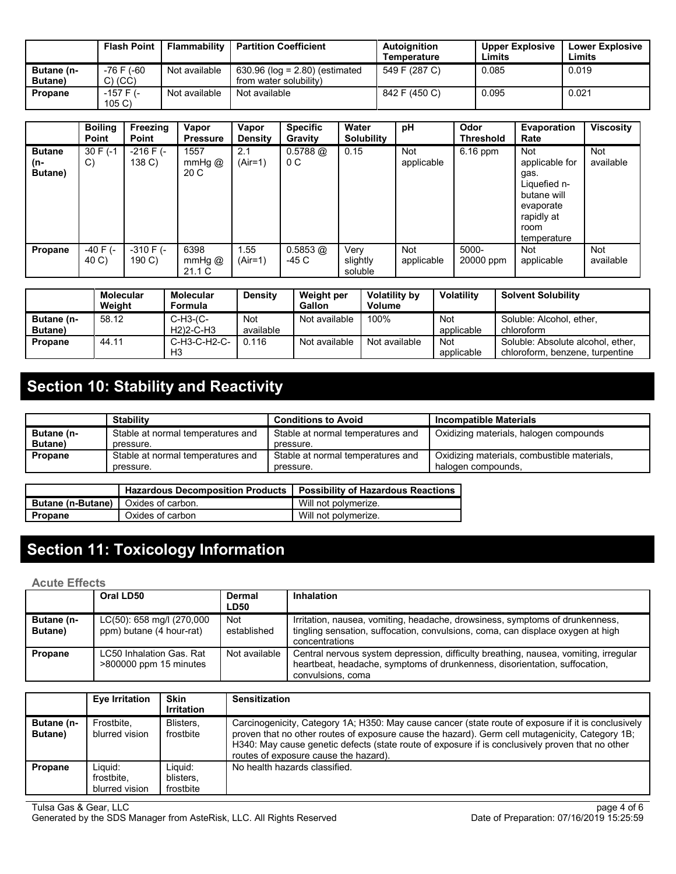|                                      | <b>Flash Point</b>      | Flammability  | <b>Partition Coefficient</b>                                 | Autoignition<br>Temperature | <b>Upper Explosive</b><br>Limits | <b>Lower Explosive</b><br>Limits |
|--------------------------------------|-------------------------|---------------|--------------------------------------------------------------|-----------------------------|----------------------------------|----------------------------------|
| <b>Butane (n-</b><br><b>Butane</b> ) | -76 F (-60<br>$C)$ (CC) | Not available | 630.96 ( $log = 2.80$ ) (estimated<br>from water solubility) | 549 F (287 C)               | 0.085                            | 0.019                            |
| <b>Propane</b>                       | $-157$ F (-<br>105 C    | Not available | Not available                                                | 842 F (450 C)               | 0.095                            | 0.021                            |

|                                 | <b>Boiling</b><br><b>Point</b> | Freezing<br>Point       | Vapor<br><b>Pressure</b>     | Vapor<br><b>Density</b> | <b>Specific</b><br><b>Gravity</b> | Water<br><b>Solubility</b>  | pH                | Odor<br><b>Threshold</b> | Evaporation<br>Rate                                                                                                   | <b>Viscosity</b>        |
|---------------------------------|--------------------------------|-------------------------|------------------------------|-------------------------|-----------------------------------|-----------------------------|-------------------|--------------------------|-----------------------------------------------------------------------------------------------------------------------|-------------------------|
| <b>Butane</b><br>(n-<br>Butane) | 30 F (-1<br>C)                 | $-216$ F $(-)$<br>138 C | 1557<br>mmHg $@$<br>20 C     | 2.1<br>$(Air=1)$        | $0.5788$ @<br>0C                  | 0.15                        | Not<br>applicable | $6.16$ ppm               | <b>Not</b><br>applicable for<br>gas.<br>Liquefied n-<br>butane will<br>evaporate<br>rapidly at<br>room<br>temperature | <b>Not</b><br>available |
| Propane                         | $-40$ F $(-)$<br>40 C)         | $-310$ F ( $-$<br>190 C | 6398<br>$mmHg$ $@$<br>21.1 C | 1.55<br>$(Air=1)$       | $0.5853$ @<br>-45 C               | Very<br>slightly<br>soluble | Not<br>applicable | 5000-<br>20000 ppm       | Not<br>applicable                                                                                                     | <b>Not</b><br>available |

|                               | <b>Molecular</b><br>Weight | <b>Molecular</b><br><b>Formula</b>                           | <b>Density</b>          | Weight per<br>Gallon | Volatility by<br>Volume | <b>Volatility</b>        | <b>Solvent Solubility</b>                                            |
|-------------------------------|----------------------------|--------------------------------------------------------------|-------------------------|----------------------|-------------------------|--------------------------|----------------------------------------------------------------------|
| Butane (n-<br><b>Butane</b> ) | 58.12                      | $C-H3-C-$<br>H <sub>2</sub> ) <sub>2</sub> -C-H <sub>3</sub> | <b>Not</b><br>available | Not available        | 100%                    | <b>Not</b><br>applicable | Soluble: Alcohol, ether,<br>chloroform                               |
| <b>Propane</b>                | 44.11                      | C-H3-C-H2-C-<br>H <sub>3</sub>                               | 0.116                   | Not available        | Not available           | <b>Not</b><br>applicable | Soluble: Absolute alcohol, ether,<br>chloroform, benzene, turpentine |

# **Section 10: Stability and Reactivity**

|                   | <b>Stability</b>                  | <b>Conditions to Avoid</b>        | Incompatible Materials                      |
|-------------------|-----------------------------------|-----------------------------------|---------------------------------------------|
| <b>Butane (n-</b> | Stable at normal temperatures and | Stable at normal temperatures and | Oxidizing materials, halogen compounds      |
| <b>Butane</b> )   | pressure.                         | pressure.                         |                                             |
| Propane           | Stable at normal temperatures and | Stable at normal temperatures and | Oxidizing materials, combustible materials, |
|                   | pressure.                         | pressure.                         | halogen compounds.                          |
|                   |                                   |                                   |                                             |

|                                              | <b>Hazardous Decomposition Products</b> | <b>Possibility of Hazardous Reactions</b> |
|----------------------------------------------|-----------------------------------------|-------------------------------------------|
| <b>Butane (n-Butane)</b>   Oxides of carbon. |                                         | Will not polymerize.                      |
| Propane                                      | Oxides of carbon                        | Will not polymerize.                      |

# **Section 11: Toxicology Information**

### **Acute Effects**

|                               | Oral LD50                                             | Dermal<br><b>LD50</b> | Inhalation                                                                                                                                                                              |
|-------------------------------|-------------------------------------------------------|-----------------------|-----------------------------------------------------------------------------------------------------------------------------------------------------------------------------------------|
| Butane (n-<br><b>Butane</b> ) | LC(50): 658 mg/l (270,000<br>ppm) butane (4 hour-rat) | Not<br>established    | Irritation, nausea, vomiting, headache, drowsiness, symptoms of drunkenness,<br>tingling sensation, suffocation, convulsions, coma, can displace oxygen at high<br>concentrations       |
| Propane                       | LC50 Inhalation Gas, Rat<br>>800000 ppm 15 minutes    | Not available         | Central nervous system depression, difficulty breathing, nausea, vomiting, irregular<br>heartbeat, headache, symptoms of drunkenness, disorientation, suffocation,<br>convulsions, coma |

|                               | Eye Irritation                          | <b>Skin</b><br><b>Irritation</b>  | <b>Sensitization</b>                                                                                                                                                                                                                                                                                                                                |
|-------------------------------|-----------------------------------------|-----------------------------------|-----------------------------------------------------------------------------------------------------------------------------------------------------------------------------------------------------------------------------------------------------------------------------------------------------------------------------------------------------|
| Butane (n-<br><b>Butane</b> ) | Frostbite.<br>blurred vision            | Blisters.<br>frostbite            | Carcinogenicity, Category 1A; H350: May cause cancer (state route of exposure if it is conclusively<br>proven that no other routes of exposure cause the hazard). Germ cell mutagenicity, Category 1B;<br>H340: May cause genetic defects (state route of exposure if is conclusively proven that no other<br>routes of exposure cause the hazard). |
| Propane                       | Liauid:<br>frostbite.<br>blurred vision | Liauid:<br>blisters.<br>frostbite | No health hazards classified.                                                                                                                                                                                                                                                                                                                       |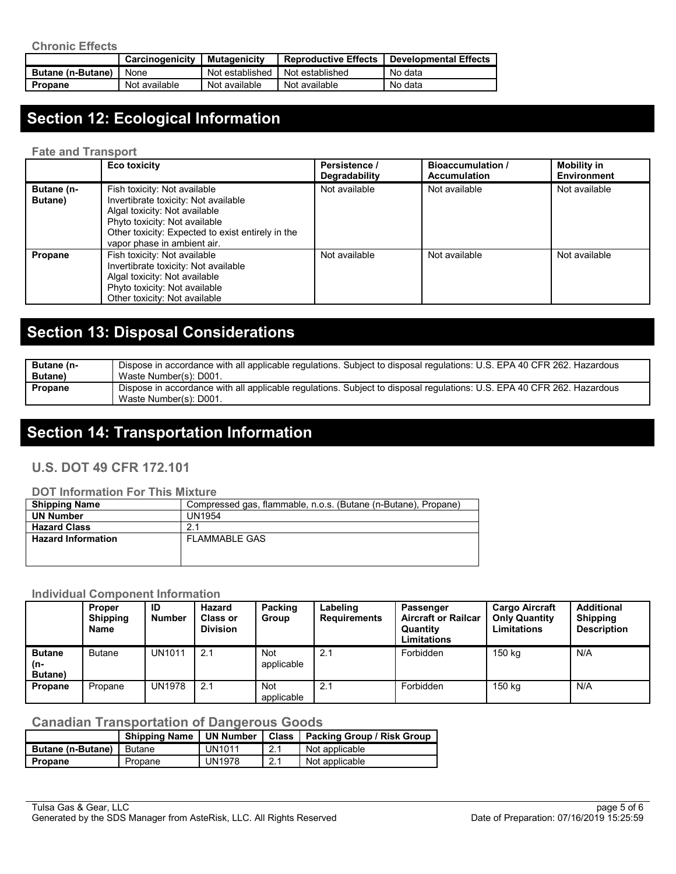|                          | Carcinogenicity | Mutagenicity    | <b>Reproductive Effects</b> | <b>Developmental Effects</b> |
|--------------------------|-----------------|-----------------|-----------------------------|------------------------------|
| <b>Butane (n-Butane)</b> | None            | Not established | Not established             | No data                      |
| Propane                  | Not available   | Not available   | Not available               | No data                      |

# **Section 12: Ecological Information**

#### **Fate and Transport**

|                               | <b>Eco toxicity</b>                                                                                                                                                                                                        | Persistence /<br><b>Degradability</b> | <b>Bioaccumulation</b> /<br><b>Accumulation</b> | Mobility in<br><b>Environment</b> |
|-------------------------------|----------------------------------------------------------------------------------------------------------------------------------------------------------------------------------------------------------------------------|---------------------------------------|-------------------------------------------------|-----------------------------------|
| Butane (n-<br><b>Butane</b> ) | Fish toxicity: Not available<br>Invertibrate toxicity: Not available<br>Algal toxicity: Not available<br>Phyto toxicity: Not available<br>Other toxicity: Expected to exist entirely in the<br>vapor phase in ambient air. | Not available                         | Not available                                   | Not available                     |
| Propane                       | Fish toxicity. Not available<br>Invertibrate toxicity: Not available<br>Algal toxicity: Not available<br>Phyto toxicity: Not available<br>Other toxicity: Not available                                                    | Not available                         | Not available                                   | Not available                     |

# **Section 13: Disposal Considerations**

| Butane (n-      | Dispose in accordance with all applicable regulations. Subject to disposal regulations: U.S. EPA 40 CFR 262. Hazardous                           |
|-----------------|--------------------------------------------------------------------------------------------------------------------------------------------------|
| <b>Butane</b> ) | Waste Number(s): D001.                                                                                                                           |
| Propane         | Dispose in accordance with all applicable regulations. Subject to disposal regulations: U.S. EPA 40 CFR 262. Hazardous<br>Waste Number(s): D001. |

## **Section 14: Transportation Information**

### **U.S. DOT 49 CFR 172.101**

#### **DOT Information For This Mixture**

| <b>Shipping Name</b>      | Compressed gas, flammable, n.o.s. (Butane (n-Butane), Propane) |
|---------------------------|----------------------------------------------------------------|
| <b>UN Number</b>          | UN1954                                                         |
| <b>Hazard Class</b>       | 2.1                                                            |
| <b>Hazard Information</b> | <b>FLAMMABLE GAS</b>                                           |
|                           |                                                                |
|                           |                                                                |

### **Individual Component Information**

|                                 | <b>Proper</b><br><b>Shipping</b><br>Name | ID<br><b>Number</b> | Hazard<br><b>Class or</b><br><b>Division</b> | Packing<br>Group         | Labeling<br><b>Requirements</b> | Passenger<br><b>Aircraft or Railcar</b><br>Quantity<br>Limitations | <b>Cargo Aircraft</b><br><b>Only Quantity</b><br><b>Limitations</b> | <b>Additional</b><br><b>Shipping</b><br><b>Description</b> |
|---------------------------------|------------------------------------------|---------------------|----------------------------------------------|--------------------------|---------------------------------|--------------------------------------------------------------------|---------------------------------------------------------------------|------------------------------------------------------------|
| <b>Butane</b><br>(n-<br>Butane) | <b>Butane</b>                            | <b>UN1011</b>       | 2.1                                          | <b>Not</b><br>applicable | 2.1                             | Forbidden                                                          | 150 kg                                                              | N/A                                                        |
| Propane                         | Propane                                  | <b>UN1978</b>       | 2.1                                          | <b>Not</b><br>applicable | 2.1                             | Forbidden                                                          | 150 ka                                                              | N/A                                                        |

## **Canadian Transportation of Dangerous Goods**

|                          | Shipping Name   UN Number |               | Class | <b>Packing Group / Risk Group</b> |
|--------------------------|---------------------------|---------------|-------|-----------------------------------|
| <b>Butane (n-Butane)</b> | Butane                    | <b>UN1011</b> | 2.1   | Not applicable                    |
| Propane                  | Propane                   | <b>UN1978</b> | 2.1   | Not applicable                    |